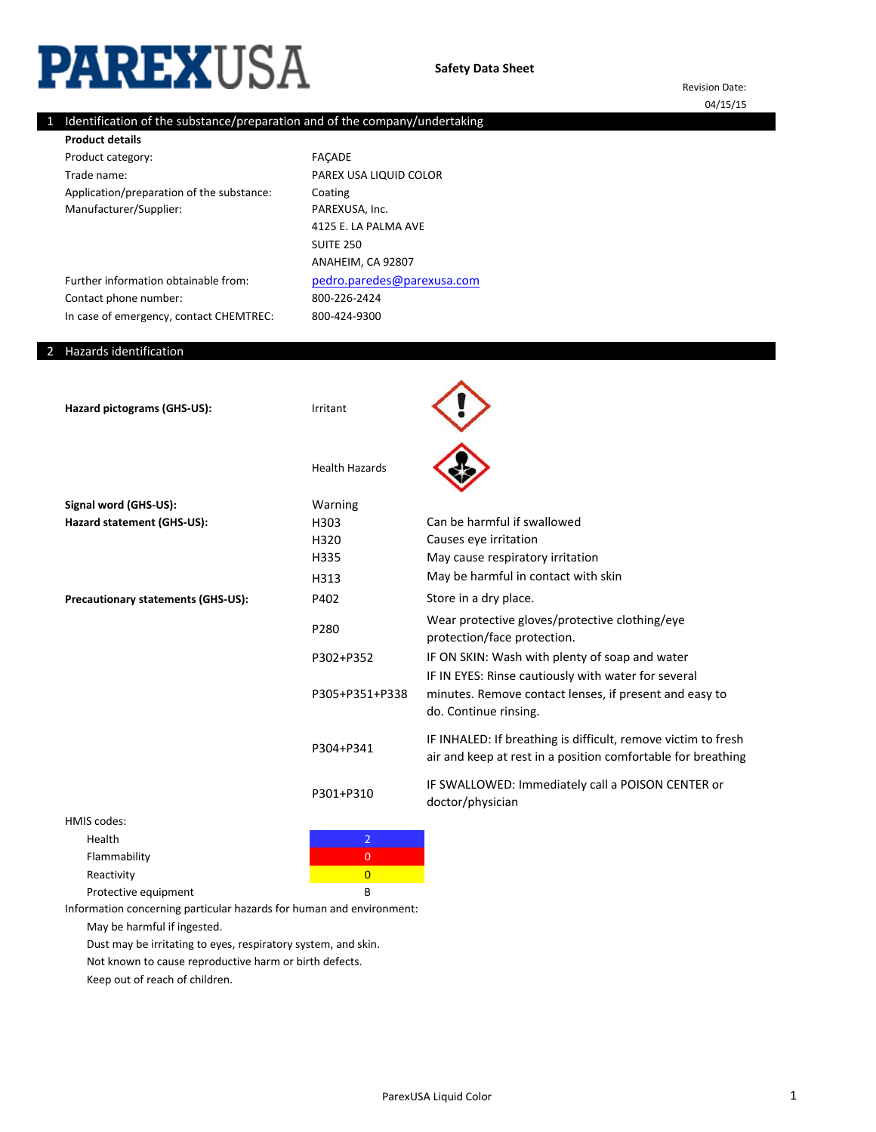# **PAREXUSA**

Revision Date:

# 1 Identification of the substance/preparation and of the company/undertaking

04/15/15

| <b>Product details</b>                    |                    |
|-------------------------------------------|--------------------|
| Product category:                         | <b>FACADE</b>      |
| Trade name:                               | <b>PAREX USA L</b> |
| Application/preparation of the substance: | Coating            |
| Manufacturer/Supplier:                    | PAREXUSA. I        |

ANAHEIM, CA 92807 800-424-9300 LIQUID COLOR  $Inc.$ [pedro.paredes@pare](mailto:pedro.paredes@parexusa.com)xusa.com 4125 E. LA PALMA AVE SUITE 250 800-226-2424

## 2 Hazards identification

Contact phone number:

Further information obtainable from:

In case of emergency, contact CHEMTREC:

| Hazard pictograms (GHS-US):               | Irritant              |                                                                                                                                        |
|-------------------------------------------|-----------------------|----------------------------------------------------------------------------------------------------------------------------------------|
|                                           | <b>Health Hazards</b> |                                                                                                                                        |
| Signal word (GHS-US):                     | Warning               |                                                                                                                                        |
| Hazard statement (GHS-US):                | H303                  | Can be harmful if swallowed                                                                                                            |
|                                           | H320                  | Causes eye irritation                                                                                                                  |
|                                           | H335                  | May cause respiratory irritation                                                                                                       |
|                                           | H313                  | May be harmful in contact with skin                                                                                                    |
| <b>Precautionary statements (GHS-US):</b> | P402                  | Store in a dry place.                                                                                                                  |
|                                           | P280                  | Wear protective gloves/protective clothing/eye<br>protection/face protection.                                                          |
|                                           | P302+P352             | IF ON SKIN: Wash with plenty of soap and water                                                                                         |
|                                           | P305+P351+P338        | IF IN EYES: Rinse cautiously with water for several<br>minutes. Remove contact lenses, if present and easy to<br>do. Continue rinsing. |
|                                           | P304+P341             | IF INHALED: If breathing is difficult, remove victim to fresh<br>air and keep at rest in a position comfortable for breathing          |
|                                           | P301+P310             | IF SWALLOWED: Immediately call a POISON CENTER or<br>doctor/physician                                                                  |
| HMIS codes:                               |                       |                                                                                                                                        |
| Health                                    | $\overline{2}$        |                                                                                                                                        |
|                                           |                       |                                                                                                                                        |

Flammability 0



Information concerning particular hazards for human and environment:

May be harmful if ingested.

Dust may be irritating to eyes, respiratory system, and skin.

Not known to cause reproductive harm or birth defects.

Keep out of reach of children.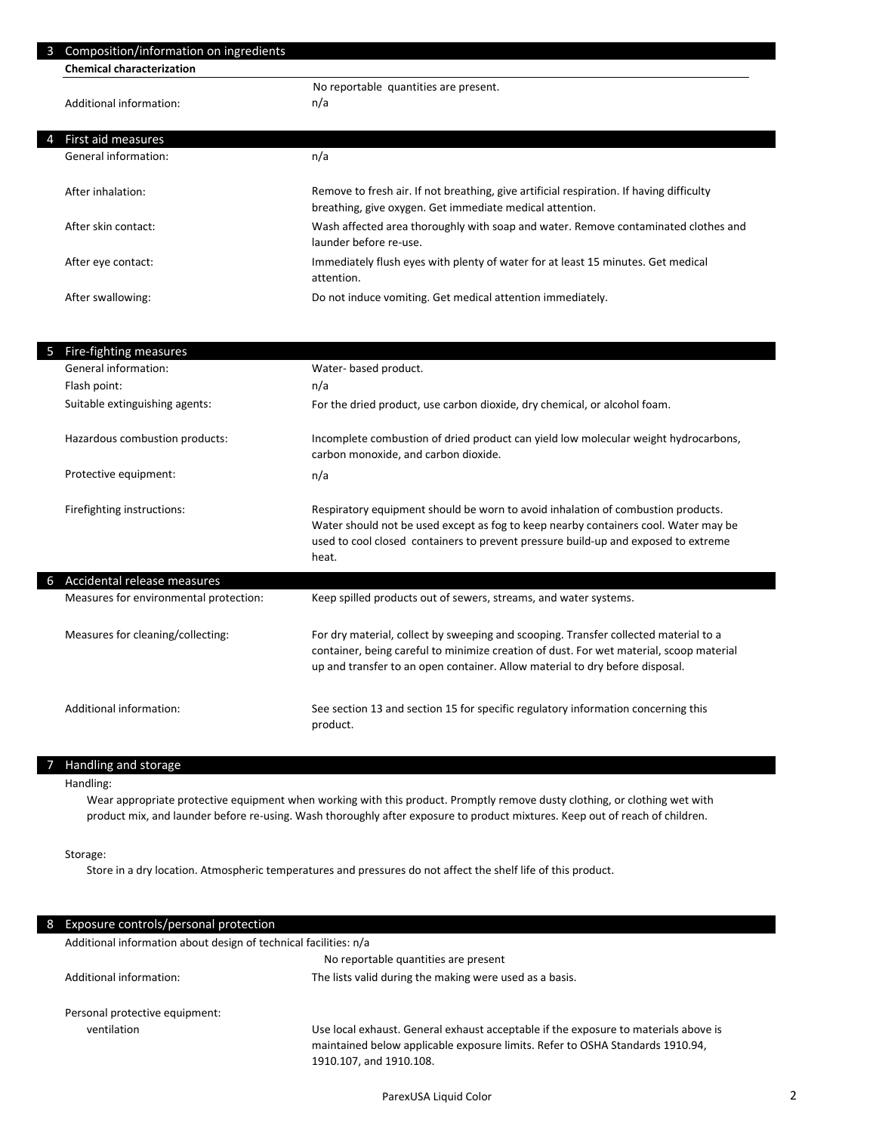| 3 | Composition/information on ingredients |                                                                                          |
|---|----------------------------------------|------------------------------------------------------------------------------------------|
|   | <b>Chemical characterization</b>       |                                                                                          |
|   |                                        | No reportable quantities are present.                                                    |
|   | Additional information:                | n/a                                                                                      |
|   |                                        |                                                                                          |
| 4 | First aid measures                     |                                                                                          |
|   | General information:                   | n/a                                                                                      |
|   |                                        |                                                                                          |
|   | After inhalation:                      | Remove to fresh air. If not breathing, give artificial respiration. If having difficulty |
|   |                                        | breathing, give oxygen. Get immediate medical attention.                                 |
|   | After skin contact:                    | Wash affected area thoroughly with soap and water. Remove contaminated clothes and       |
|   |                                        | launder before re-use.                                                                   |
|   | After eye contact:                     | Immediately flush eyes with plenty of water for at least 15 minutes. Get medical         |
|   |                                        | attention.                                                                               |
|   | After swallowing:                      | Do not induce vomiting. Get medical attention immediately.                               |

| 5 | Fire-fighting measures                 |                                                                                                                                                                                                                                                                        |
|---|----------------------------------------|------------------------------------------------------------------------------------------------------------------------------------------------------------------------------------------------------------------------------------------------------------------------|
|   | General information:                   | Water- based product.                                                                                                                                                                                                                                                  |
|   | Flash point:                           | n/a                                                                                                                                                                                                                                                                    |
|   | Suitable extinguishing agents:         | For the dried product, use carbon dioxide, dry chemical, or alcohol foam.                                                                                                                                                                                              |
|   | Hazardous combustion products:         | Incomplete combustion of dried product can yield low molecular weight hydrocarbons,<br>carbon monoxide, and carbon dioxide.                                                                                                                                            |
|   | Protective equipment:                  | n/a                                                                                                                                                                                                                                                                    |
|   | Firefighting instructions:             | Respiratory equipment should be worn to avoid inhalation of combustion products.<br>Water should not be used except as fog to keep nearby containers cool. Water may be<br>used to cool closed containers to prevent pressure build-up and exposed to extreme<br>heat. |
| 6 | Accidental release measures            |                                                                                                                                                                                                                                                                        |
|   | Measures for environmental protection: | Keep spilled products out of sewers, streams, and water systems.                                                                                                                                                                                                       |
|   | Measures for cleaning/collecting:      | For dry material, collect by sweeping and scooping. Transfer collected material to a<br>container, being careful to minimize creation of dust. For wet material, scoop material<br>up and transfer to an open container. Allow material to dry before disposal.        |
|   | Additional information:                | See section 13 and section 15 for specific regulatory information concerning this<br>product.                                                                                                                                                                          |

#### 7 Handling and storage

# Handling:

 $\overline{\phantom{a}}$ 

Wear appropriate protective equipment when working with this product. Promptly remove dusty clothing, or clothing wet with product mix, and launder before re-using. Wash thoroughly after exposure to product mixtures. Keep out of reach of children.

Storage:

Store in a dry location. Atmospheric temperatures and pressures do not affect the shelf life of this product.

| 8. | Exposure controls/personal protection                            |                                                                                                                                                                                                 |
|----|------------------------------------------------------------------|-------------------------------------------------------------------------------------------------------------------------------------------------------------------------------------------------|
|    | Additional information about design of technical facilities: n/a |                                                                                                                                                                                                 |
|    |                                                                  | No reportable quantities are present                                                                                                                                                            |
|    | Additional information:                                          | The lists valid during the making were used as a basis.                                                                                                                                         |
|    | Personal protective equipment:                                   |                                                                                                                                                                                                 |
|    | ventilation                                                      | Use local exhaust. General exhaust acceptable if the exposure to materials above is<br>maintained below applicable exposure limits. Refer to OSHA Standards 1910.94,<br>1910.107, and 1910.108. |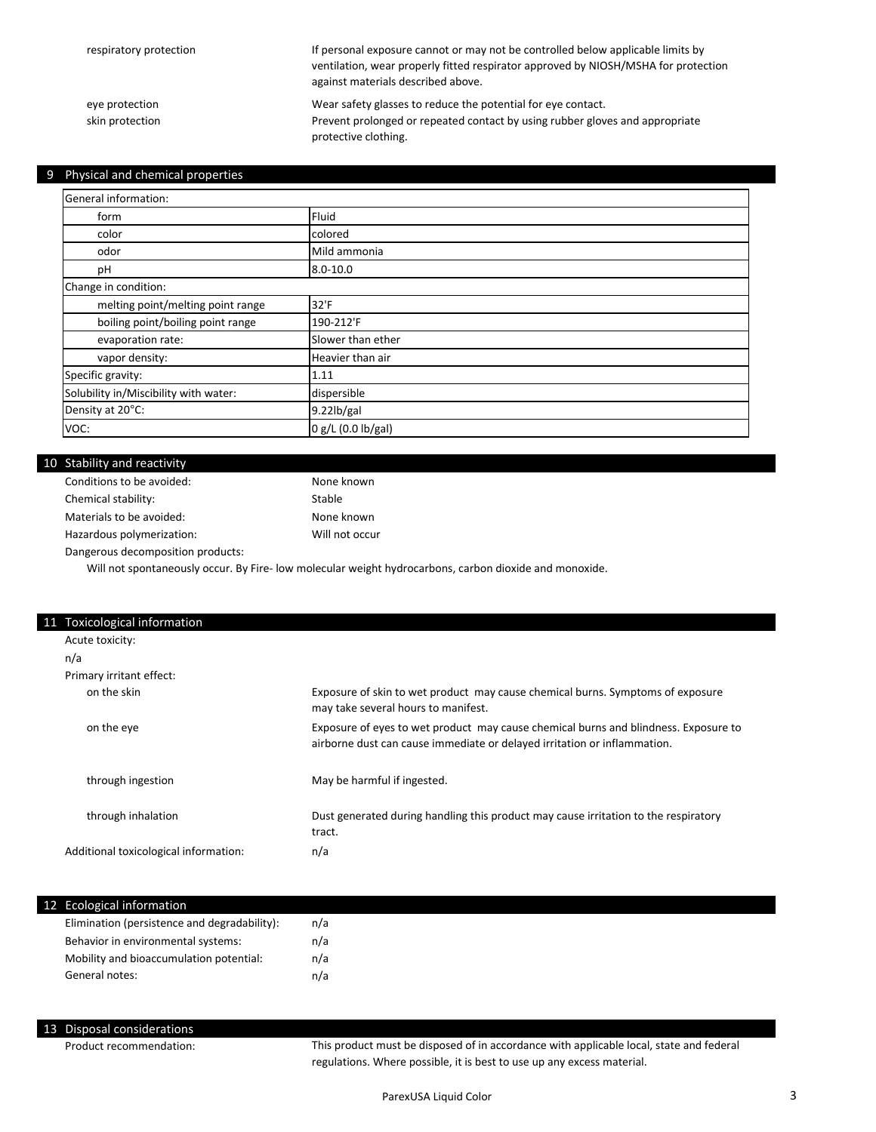If personal exposure cannot or may not be controlled below applicable limits by ventilation, wear properly fitted respirator approved by NIOSH/MSHA for protection against materials described above.

eye protection Prevent prolonged or repeated contact by using rubber gloves and appropriate protective clothing. skin protection Wear safety glasses to reduce the potential for eye contact.

#### 9 Physical and chemical properties

| General information:                  |                    |
|---------------------------------------|--------------------|
| form                                  | Fluid              |
| color                                 | colored            |
| odor                                  | Mild ammonia       |
| pH                                    | $8.0 - 10.0$       |
| Change in condition:                  |                    |
| melting point/melting point range     | 32'F               |
| boiling point/boiling point range     | 190-212'F          |
| evaporation rate:                     | Slower than ether  |
| vapor density:                        | Heavier than air   |
| Specific gravity:                     | 1.11               |
| Solubility in/Miscibility with water: | dispersible        |
| Density at 20°C:                      | $9.22$ lb/gal      |
| VOC:                                  | 0 g/L (0.0 lb/gal) |

#### 10 Stability and reactivity

| None known     |
|----------------|
| Stable         |
| None known     |
| Will not occur |
|                |

Dangerous decomposition products:

Will not spontaneously occur. By Fire- low molecular weight hydrocarbons, carbon dioxide and monoxide.

| 11 Toxicological information          |                                                                                                                                                                 |
|---------------------------------------|-----------------------------------------------------------------------------------------------------------------------------------------------------------------|
| Acute toxicity:                       |                                                                                                                                                                 |
| n/a                                   |                                                                                                                                                                 |
| Primary irritant effect:              |                                                                                                                                                                 |
| on the skin                           | Exposure of skin to wet product may cause chemical burns. Symptoms of exposure<br>may take several hours to manifest.                                           |
| on the eye                            | Exposure of eyes to wet product may cause chemical burns and blindness. Exposure to<br>airborne dust can cause immediate or delayed irritation or inflammation. |
| through ingestion                     | May be harmful if ingested.                                                                                                                                     |
| through inhalation                    | Dust generated during handling this product may cause irritation to the respiratory<br>tract.                                                                   |
| Additional toxicological information: | n/a                                                                                                                                                             |
|                                       |                                                                                                                                                                 |

#### 12 Ecological information

| Elimination (persistence and degradability): | n/a |
|----------------------------------------------|-----|
| Behavior in environmental systems:           | n/a |
| Mobility and bioaccumulation potential:      | n/a |
| General notes:                               | n/a |

#### 13 Disposal considerations

Product recommendation:

This product must be disposed of in accordance with applicable local, state and federal regulations. Where possible, it is best to use up any excess material.